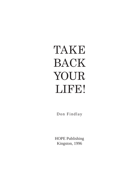# TAKE BACK YOUR LIFE!

Don Findlay

HOPE Publishing Kingston, 1996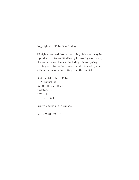Copyright ©1996 by Don Findlay

All rights reserved. No part of this publication may be reproduced or transmitted in any form or by any means, electronic or mechanical, including photocopying, recording or information storage and retrieval system, without permission in writing from the publisher.

First published in 1996 by HOPE Publishing 668 Old Hillview Road Kingston, ON K7M 5C6 (613) 384-9749

Printed and bound in Canada

ISBN 0-9681189-0-9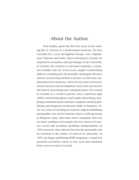## About the Author

Don Findlay spent the first five years of his working life in Toronto as a professional musician. He then travelled for a year throughout Europe, Asia, Afghanistan, Pakistan and India. Upon returning to Canada, he majored in economics and psychology at the University of Toronto. He worked as a licensed carpenter, a furniture builder and, for seven years, taught woodworking skills at a workshop for the mentally challenged. His keen interest in bicycling led him to invent a world-class, human-powered catamaran. After several years of international research and development work, Don moved into the field of advertising and communications. He worked in Toronto as a creative partner with a small but high calibre advertising agency and taught advertising, marketing communications and later computer desktop publishing and magazine production skills in Kingston. After two years of teaching he started a digital publishing and graphic arts service bureau which is still operating in Kingston today. Like most other Canadians, Don was too busy working to investigate the true nature of Canada's social and economic problems independently. In 1994, however, they infected his own life personally and he returned to his subject of interest in university. In 1995, he began publishing HOPE magazine, a small but powerful newsletter which is now read and reprinted from coast-to-coast in Canada.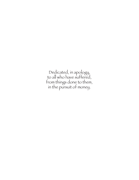Dedicated, in apology, to all who have suffered, from things done to them, in the pursuit of money.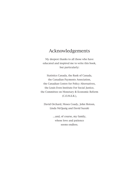## Acknowledgements

My deepest thanks to all those who have educated and inspired me to write this book, but particularly:

Statistics Canada, the Bank of Canada, the Canadian Payments Association, the Canadian Centre for Policy Alternatives, the Louis Even Institute For Social Justice, the Committee on Monetary & Economic Reform (C.O.M.E.R.),

David Orchard, Moses Coady, John Hotson, Linda McQuaig and David Suzuki

> …and, of course, my family, whose love and patience seems endless.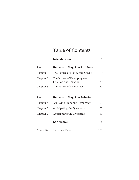## Table of Contents

|           | Introduction                                          | 1           |
|-----------|-------------------------------------------------------|-------------|
| Part I:   | <b>Understanding The Problems</b>                     |             |
| Chapter 1 | The Nature of Money and Credit                        | $\mathbf Q$ |
| Chapter 2 | The Nature of Unemployment,<br>Inflation and Taxation | 29          |
| Chapter 3 | The Nature of Democracy                               | 45          |
|           |                                                       |             |
| Part II:  | <b>Understanding The Solution</b>                     |             |
| Chapter 4 | Achieving Economic Democracy                          | 61          |
| Chapter 5 | Anticipating the Questions                            | 77          |
| Chapter 6 | Anticipating the Criticisms                           | 97          |
|           | Conclusion                                            | 115         |

Appendix Statistical Data 127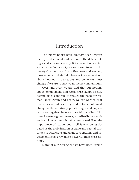## Introduction

Too many books have already been written merely to document and denounce the deteriorating social, economic and political conditions which are challenging society as we move towards the twenty-first century. Many fine men and women, most experts in their field, have written extensively about how our expectations and behaviors must change if we are to survive in the new millennium.

Over and over, we are told that our notions about employment and work must adapt as new technologies continue to reduce the need for human labor. Again and again, we are warned that our ideas about security and retirement must change as the working population ages and taxpayers revolt against increased social spending. The role of western governments, to redistribute wealth and regulate markets, is being questioned. Even the importance of nationhood itself is now being debated as the globalization of trade and capital continues to accelerate and giant corporations and investment firms grow more powerful than most nations.

Many of our best scientists have been urging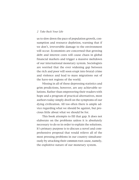#### 2 Take Back Your Life

us to slow down the pace of population growth, consumption and resource depletion, warning that if we don't, irreversible damage to the environment will occur. Economists are concerned that growing debt and interest costs will cause chaos in global financial markets and trigger a massive meltdown of our international monetary system. Sociologists are worried that the ever widening gap between the rich and poor will soon erupt into brutal crime and violence and lead to mass migrations out of the have-not regions of the world.

Missing in all of these depressing statistics and grim predictions, however, are any achievable solutions. Rather than empowering their readers with hope and a program of practical alternatives, most authors today simply dwell on the symptoms of our dying civilization. All too often there is ample advice regarding what we should be against, but precious little about what we should be for.

This book attempts to fill that gap. It does not elaborate on the problems unless it is absolutely necessary to do so in order to explain the solutions. It's primary purpose is to discuss a novel and comprehensive proposal that would relieve all of the most pressing problems in our country simultaneously by attacking their common root cause, namely, the exploitive nature of our monetary system.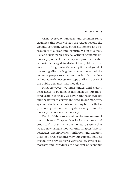#### Introduction 3

Using everyday language and common sense examples, this book will lead the reader beyond the gloomy, confusing world of the economists and bureaucrats to a clear and inspiring vision of a truly just and sustainable society. Without economic democracy, political democracy is a joke …a theatrical swindle, staged to distract the public and to conceal and legitimize the corruption and greed of the ruling elites. It is going to take the will of the common people to save our species. Our leaders will not take the necessary steps until a majority of the public demands that they do so.

First, however, we must understand clearly what needs to be done. It has taken us four thousand years, but finally we have both the knowledge and the power to correct the flaws in our monetary system, which is the only remaining barrier that is preventing us from reaching democracy …true democracy …economic democracy.

Part I of this book examines the true nature of our problems. Chapter One looks at money and credit and explains why the monetary system that we are now using is not working. Chapter Two investigates unemployment, inflation and taxation. Chapter Three examines why our current political system can only deliver a very shallow type of democracy and introduces the concept of economic